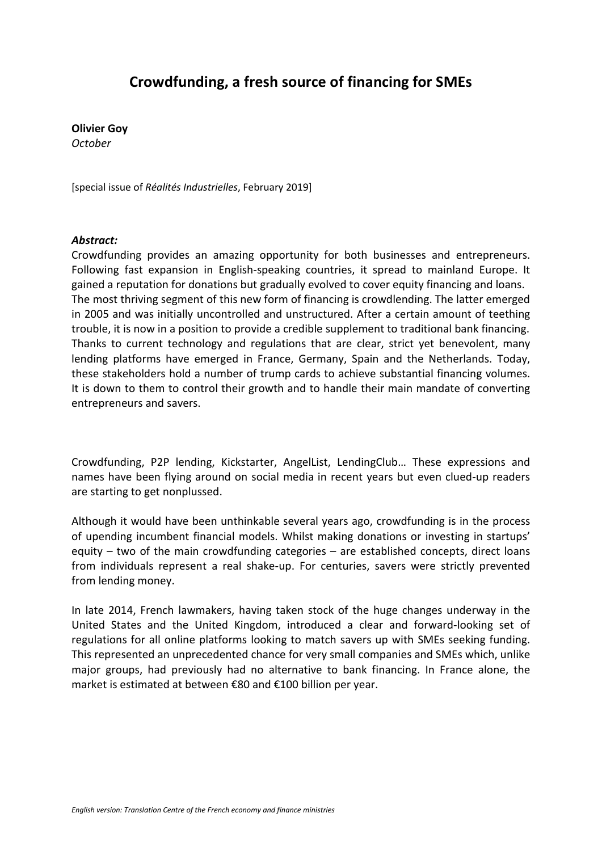### **Crowdfunding, a fresh source of financing for SMEs**

**Olivier Goy** *October*

[special issue of *Réalités Industrielles*, February 2019]

#### *Abstract:*

Crowdfunding provides an amazing opportunity for both businesses and entrepreneurs. Following fast expansion in English-speaking countries, it spread to mainland Europe. It gained a reputation for donations but gradually evolved to cover equity financing and loans. The most thriving segment of this new form of financing is crowdlending. The latter emerged in 2005 and was initially uncontrolled and unstructured. After a certain amount of teething trouble, it is now in a position to provide a credible supplement to traditional bank financing. Thanks to current technology and regulations that are clear, strict yet benevolent, many lending platforms have emerged in France, Germany, Spain and the Netherlands. Today, these stakeholders hold a number of trump cards to achieve substantial financing volumes. It is down to them to control their growth and to handle their main mandate of converting entrepreneurs and savers.

Crowdfunding, P2P lending, Kickstarter, AngelList, LendingClub… These expressions and names have been flying around on social media in recent years but even clued-up readers are starting to get nonplussed.

Although it would have been unthinkable several years ago, crowdfunding is in the process of upending incumbent financial models. Whilst making donations or investing in startups' equity – two of the main crowdfunding categories – are established concepts, direct loans from individuals represent a real shake-up. For centuries, savers were strictly prevented from lending money.

In late 2014, French lawmakers, having taken stock of the huge changes underway in the United States and the United Kingdom, introduced a clear and forward-looking set of regulations for all online platforms looking to match savers up with SMEs seeking funding. This represented an unprecedented chance for very small companies and SMEs which, unlike major groups, had previously had no alternative to bank financing. In France alone, the market is estimated at between €80 and €100 billion per year.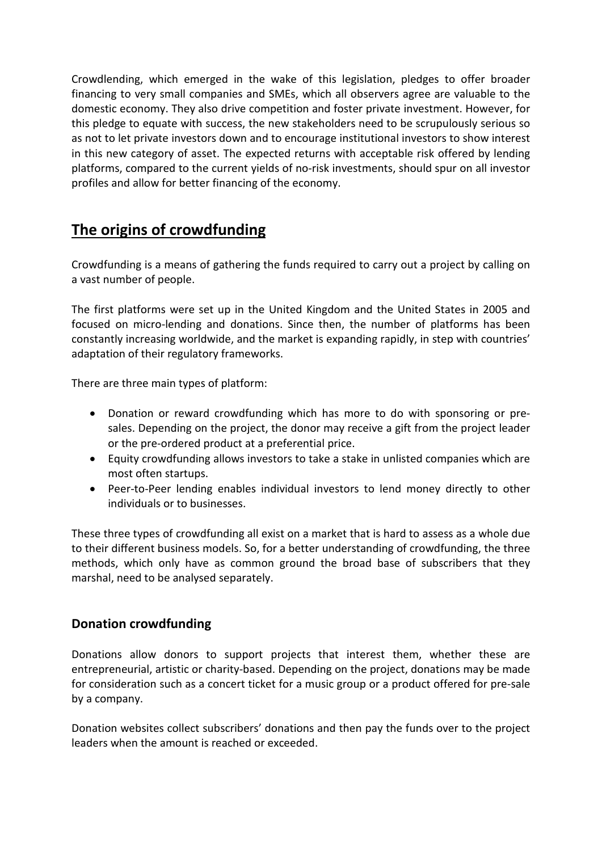Crowdlending, which emerged in the wake of this legislation, pledges to offer broader financing to very small companies and SMEs, which all observers agree are valuable to the domestic economy. They also drive competition and foster private investment. However, for this pledge to equate with success, the new stakeholders need to be scrupulously serious so as not to let private investors down and to encourage institutional investors to show interest in this new category of asset. The expected returns with acceptable risk offered by lending platforms, compared to the current yields of no-risk investments, should spur on all investor profiles and allow for better financing of the economy.

# **The origins of crowdfunding**

Crowdfunding is a means of gathering the funds required to carry out a project by calling on a vast number of people.

The first platforms were set up in the United Kingdom and the United States in 2005 and focused on micro-lending and donations. Since then, the number of platforms has been constantly increasing worldwide, and the market is expanding rapidly, in step with countries' adaptation of their regulatory frameworks.

There are three main types of platform:

- Donation or reward crowdfunding which has more to do with sponsoring or presales. Depending on the project, the donor may receive a gift from the project leader or the pre-ordered product at a preferential price.
- Equity crowdfunding allows investors to take a stake in unlisted companies which are most often startups.
- Peer-to-Peer lending enables individual investors to lend money directly to other individuals or to businesses.

These three types of crowdfunding all exist on a market that is hard to assess as a whole due to their different business models. So, for a better understanding of crowdfunding, the three methods, which only have as common ground the broad base of subscribers that they marshal, need to be analysed separately.

### **Donation crowdfunding**

Donations allow donors to support projects that interest them, whether these are entrepreneurial, artistic or charity-based. Depending on the project, donations may be made for consideration such as a concert ticket for a music group or a product offered for pre-sale by a company.

Donation websites collect subscribers' donations and then pay the funds over to the project leaders when the amount is reached or exceeded.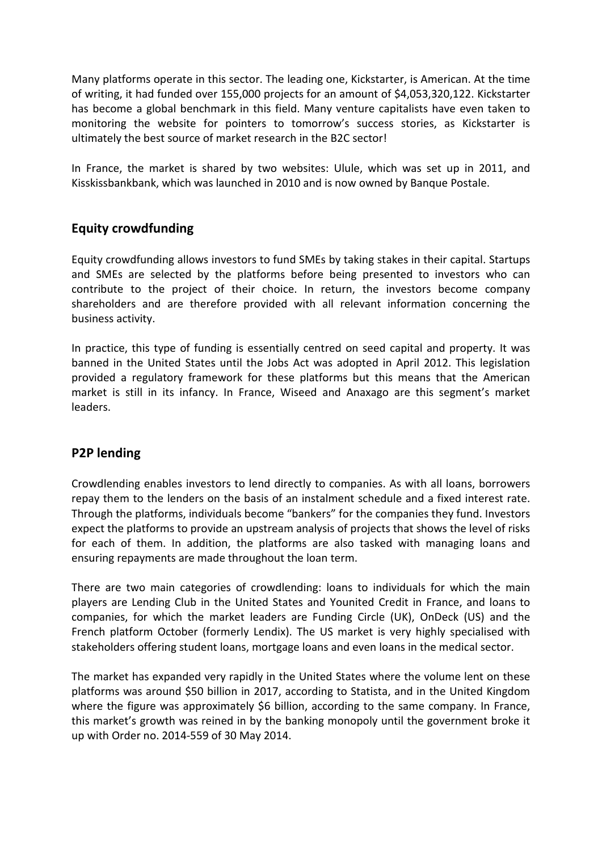Many platforms operate in this sector. The leading one, Kickstarter, is American. At the time of writing, it had funded over 155,000 projects for an amount of \$4,053,320,122. Kickstarter has become a global benchmark in this field. Many venture capitalists have even taken to monitoring the website for pointers to tomorrow's success stories, as Kickstarter is ultimately the best source of market research in the B2C sector!

In France, the market is shared by two websites: Ulule, which was set up in 2011, and Kisskissbankbank, which was launched in 2010 and is now owned by Banque Postale.

### **Equity crowdfunding**

Equity crowdfunding allows investors to fund SMEs by taking stakes in their capital. Startups and SMEs are selected by the platforms before being presented to investors who can contribute to the project of their choice. In return, the investors become company shareholders and are therefore provided with all relevant information concerning the business activity.

In practice, this type of funding is essentially centred on seed capital and property. It was banned in the United States until the Jobs Act was adopted in April 2012. This legislation provided a regulatory framework for these platforms but this means that the American market is still in its infancy. In France, Wiseed and Anaxago are this segment's market leaders.

### **P2P lending**

Crowdlending enables investors to lend directly to companies. As with all loans, borrowers repay them to the lenders on the basis of an instalment schedule and a fixed interest rate. Through the platforms, individuals become "bankers" for the companies they fund. Investors expect the platforms to provide an upstream analysis of projects that shows the level of risks for each of them. In addition, the platforms are also tasked with managing loans and ensuring repayments are made throughout the loan term.

There are two main categories of crowdlending: loans to individuals for which the main players are Lending Club in the United States and Younited Credit in France, and loans to companies, for which the market leaders are Funding Circle (UK), OnDeck (US) and the French platform October (formerly Lendix). The US market is very highly specialised with stakeholders offering student loans, mortgage loans and even loans in the medical sector.

The market has expanded very rapidly in the United States where the volume lent on these platforms was around \$50 billion in 2017, according to Statista, and in the United Kingdom where the figure was approximately \$6 billion, according to the same company. In France, this market's growth was reined in by the banking monopoly until the government broke it up with Order no. 2014-559 of 30 May 2014.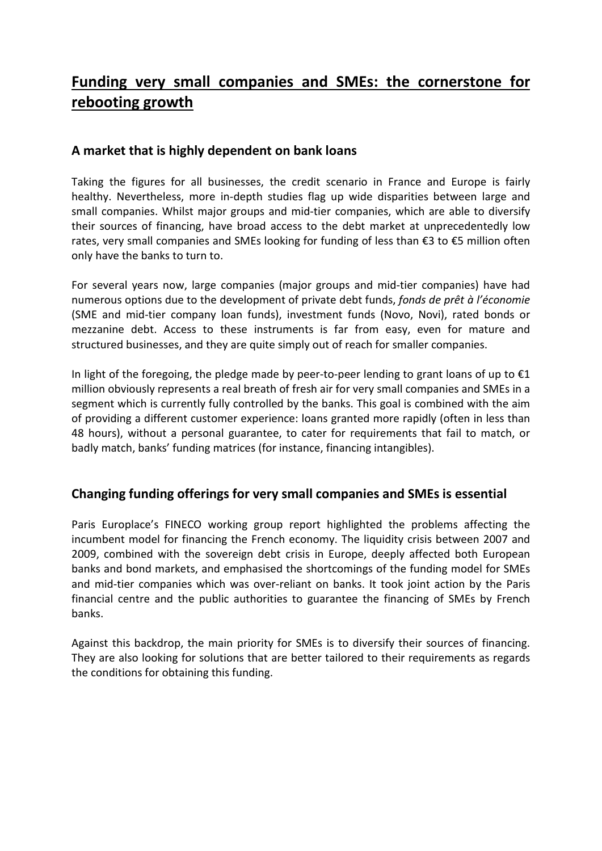## **Funding very small companies and SMEs: the cornerstone for rebooting growth**

### **A market that is highly dependent on bank loans**

Taking the figures for all businesses, the credit scenario in France and Europe is fairly healthy. Nevertheless, more in-depth studies flag up wide disparities between large and small companies. Whilst major groups and mid-tier companies, which are able to diversify their sources of financing, have broad access to the debt market at unprecedentedly low rates, very small companies and SMEs looking for funding of less than €3 to €5 million often only have the banks to turn to.

For several years now, large companies (major groups and mid-tier companies) have had numerous options due to the development of private debt funds, *fonds de prêt à l'économie* (SME and mid-tier company loan funds), investment funds (Novo, Novi), rated bonds or mezzanine debt. Access to these instruments is far from easy, even for mature and structured businesses, and they are quite simply out of reach for smaller companies.

In light of the foregoing, the pledge made by peer-to-peer lending to grant loans of up to  $\epsilon_1$ million obviously represents a real breath of fresh air for very small companies and SMEs in a segment which is currently fully controlled by the banks. This goal is combined with the aim of providing a different customer experience: loans granted more rapidly (often in less than 48 hours), without a personal guarantee, to cater for requirements that fail to match, or badly match, banks' funding matrices (for instance, financing intangibles).

### **Changing funding offerings for very small companies and SMEs is essential**

Paris Europlace's FINECO working group report highlighted the problems affecting the incumbent model for financing the French economy. The liquidity crisis between 2007 and 2009, combined with the sovereign debt crisis in Europe, deeply affected both European banks and bond markets, and emphasised the shortcomings of the funding model for SMEs and mid-tier companies which was over-reliant on banks. It took joint action by the Paris financial centre and the public authorities to guarantee the financing of SMEs by French banks.

Against this backdrop, the main priority for SMEs is to diversify their sources of financing. They are also looking for solutions that are better tailored to their requirements as regards the conditions for obtaining this funding.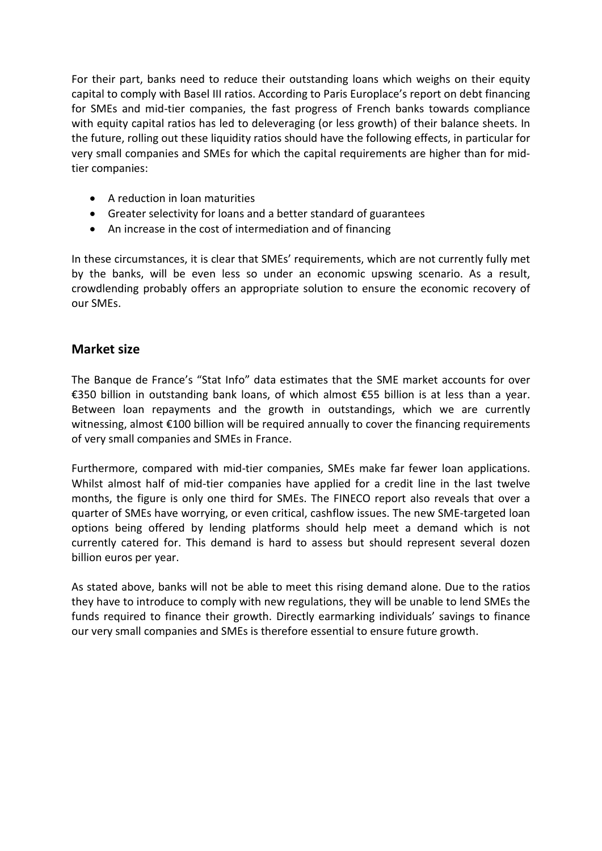For their part, banks need to reduce their outstanding loans which weighs on their equity capital to comply with Basel III ratios. According to Paris Europlace's report on debt financing for SMEs and mid-tier companies, the fast progress of French banks towards compliance with equity capital ratios has led to deleveraging (or less growth) of their balance sheets. In the future, rolling out these liquidity ratios should have the following effects, in particular for very small companies and SMEs for which the capital requirements are higher than for midtier companies:

- A reduction in loan maturities
- Greater selectivity for loans and a better standard of guarantees
- An increase in the cost of intermediation and of financing

In these circumstances, it is clear that SMEs' requirements, which are not currently fully met by the banks, will be even less so under an economic upswing scenario. As a result, crowdlending probably offers an appropriate solution to ensure the economic recovery of our SMEs.

### **Market size**

The Banque de France's "Stat Info" data estimates that the SME market accounts for over €350 billion in outstanding bank loans, of which almost €55 billion is at less than a year. Between loan repayments and the growth in outstandings, which we are currently witnessing, almost €100 billion will be required annually to cover the financing requirements of very small companies and SMEs in France.

Furthermore, compared with mid-tier companies, SMEs make far fewer loan applications. Whilst almost half of mid-tier companies have applied for a credit line in the last twelve months, the figure is only one third for SMEs. The FINECO report also reveals that over a quarter of SMEs have worrying, or even critical, cashflow issues. The new SME-targeted loan options being offered by lending platforms should help meet a demand which is not currently catered for. This demand is hard to assess but should represent several dozen billion euros per year.

As stated above, banks will not be able to meet this rising demand alone. Due to the ratios they have to introduce to comply with new regulations, they will be unable to lend SMEs the funds required to finance their growth. Directly earmarking individuals' savings to finance our very small companies and SMEs is therefore essential to ensure future growth.